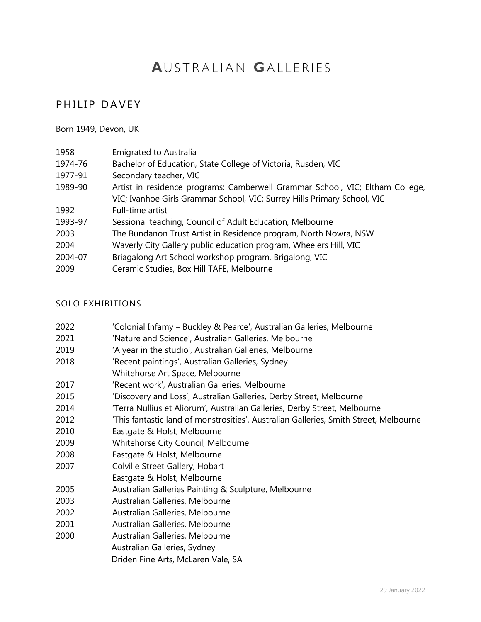# **AUSTRALIAN GALLERIES**

# PHILIP DAVEY

#### Born 1949, Devon, UK

| 1958    | <b>Emigrated to Australia</b>                                                 |
|---------|-------------------------------------------------------------------------------|
| 1974-76 | Bachelor of Education, State College of Victoria, Rusden, VIC                 |
| 1977-91 | Secondary teacher, VIC                                                        |
| 1989-90 | Artist in residence programs: Camberwell Grammar School, VIC; Eltham College, |
|         | VIC; Ivanhoe Girls Grammar School, VIC; Surrey Hills Primary School, VIC      |
| 1992    | Full-time artist                                                              |
| 1993-97 | Sessional teaching, Council of Adult Education, Melbourne                     |
| 2003    | The Bundanon Trust Artist in Residence program, North Nowra, NSW              |
| 2004    | Waverly City Gallery public education program, Wheelers Hill, VIC             |
| 2004-07 | Briagalong Art School workshop program, Brigalong, VIC                        |
| 2009    | Ceramic Studies, Box Hill TAFE, Melbourne                                     |

#### SOLO EXHIBITIONS

| 2022 | 'Colonial Infamy – Buckley & Pearce', Australian Galleries, Melbourne |  |  |  |
|------|-----------------------------------------------------------------------|--|--|--|
|      |                                                                       |  |  |  |

- 2021 'Nature and Science', Australian Galleries, Melbourne
- 2019 'A year in the studio', Australian Galleries, Melbourne
- 2018 'Recent paintings', Australian Galleries, Sydney
- Whitehorse Art Space, Melbourne
- 2017 'Recent work', Australian Galleries, Melbourne
- 2015 'Discovery and Loss', Australian Galleries, Derby Street, Melbourne
- 2014 'Terra Nullius et Aliorum', Australian Galleries, Derby Street, Melbourne
- 2012 'This fantastic land of monstrosities', Australian Galleries, Smith Street, Melbourne
- 2010 Eastgate & Holst, Melbourne
- 2009 Whitehorse City Council, Melbourne
- 2008 Eastgate & Holst, Melbourne
- 2007 Colville Street Gallery, Hobart
- Eastgate & Holst, Melbourne
- 2005 Australian Galleries Painting & Sculpture, Melbourne
- 2003 Australian Galleries, Melbourne
- 2002 Australian Galleries, Melbourne
- 2001 Australian Galleries, Melbourne
- 2000 Australian Galleries, Melbourne

Australian Galleries, Sydney

Driden Fine Arts, McLaren Vale, SA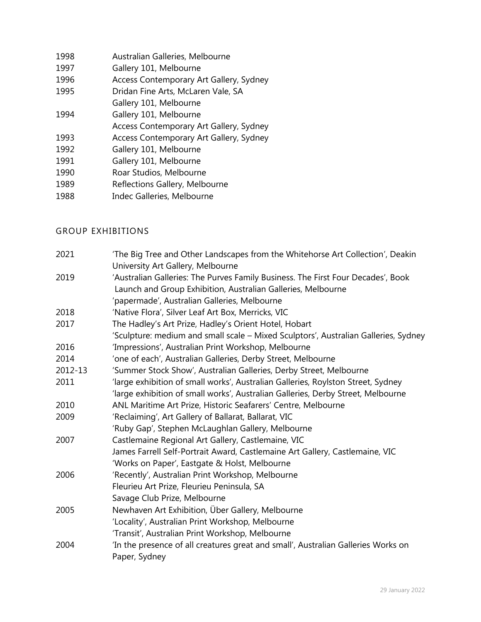| 1998 | Australian Galleries, Melbourne         |
|------|-----------------------------------------|
| 1997 | Gallery 101, Melbourne                  |
| 1996 | Access Contemporary Art Gallery, Sydney |
| 1995 | Dridan Fine Arts, McLaren Vale, SA      |
|      | Gallery 101, Melbourne                  |
| 1994 | Gallery 101, Melbourne                  |
|      | Access Contemporary Art Gallery, Sydney |
| 1993 | Access Contemporary Art Gallery, Sydney |
| 1992 | Gallery 101, Melbourne                  |
| 1991 | Gallery 101, Melbourne                  |
| 1990 | Roar Studios, Melbourne                 |
| 1989 | Reflections Gallery, Melbourne          |
| 1988 | Indec Galleries, Melbourne              |
|      |                                         |

## GROUP EXHIBITIONS

| 2021    | 'The Big Tree and Other Landscapes from the Whitehorse Art Collection', Deakin<br>University Art Gallery, Melbourne |
|---------|---------------------------------------------------------------------------------------------------------------------|
| 2019    | 'Australian Galleries: The Purves Family Business. The First Four Decades', Book                                    |
|         | Launch and Group Exhibition, Australian Galleries, Melbourne                                                        |
|         | 'papermade', Australian Galleries, Melbourne                                                                        |
| 2018    | 'Native Flora', Silver Leaf Art Box, Merricks, VIC                                                                  |
| 2017    | The Hadley's Art Prize, Hadley's Orient Hotel, Hobart                                                               |
|         | 'Sculpture: medium and small scale - Mixed Sculptors', Australian Galleries, Sydney                                 |
| 2016    | 'Impressions', Australian Print Workshop, Melbourne                                                                 |
| 2014    | 'one of each', Australian Galleries, Derby Street, Melbourne                                                        |
| 2012-13 | 'Summer Stock Show', Australian Galleries, Derby Street, Melbourne                                                  |
| 2011    | 'large exhibition of small works', Australian Galleries, Roylston Street, Sydney                                    |
|         | 'large exhibition of small works', Australian Galleries, Derby Street, Melbourne                                    |
| 2010    | ANL Maritime Art Prize, Historic Seafarers' Centre, Melbourne                                                       |
| 2009    | 'Reclaiming', Art Gallery of Ballarat, Ballarat, VIC                                                                |
|         | 'Ruby Gap', Stephen McLaughlan Gallery, Melbourne                                                                   |
| 2007    | Castlemaine Regional Art Gallery, Castlemaine, VIC                                                                  |
|         | James Farrell Self-Portrait Award, Castlemaine Art Gallery, Castlemaine, VIC                                        |
|         | 'Works on Paper', Eastgate & Holst, Melbourne                                                                       |
| 2006    | 'Recently', Australian Print Workshop, Melbourne                                                                    |
|         | Fleurieu Art Prize, Fleurieu Peninsula, SA                                                                          |
|         | Savage Club Prize, Melbourne                                                                                        |
| 2005    | Newhaven Art Exhibition, Über Gallery, Melbourne                                                                    |
|         | 'Locality', Australian Print Workshop, Melbourne                                                                    |
|         | 'Transit', Australian Print Workshop, Melbourne                                                                     |
| 2004    | 'In the presence of all creatures great and small', Australian Galleries Works on                                   |
|         | Paper, Sydney                                                                                                       |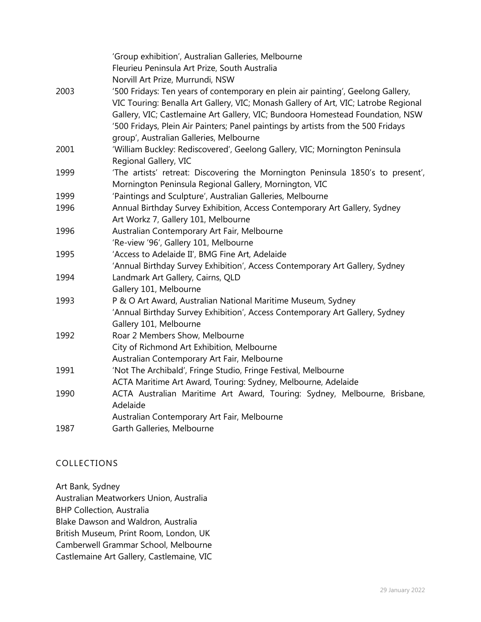|      | 'Group exhibition', Australian Galleries, Melbourne                                                                                                                                                                                                                                                                                            |
|------|------------------------------------------------------------------------------------------------------------------------------------------------------------------------------------------------------------------------------------------------------------------------------------------------------------------------------------------------|
|      | Fleurieu Peninsula Art Prize, South Australia                                                                                                                                                                                                                                                                                                  |
|      | Norvill Art Prize, Murrundi, NSW                                                                                                                                                                                                                                                                                                               |
| 2003 | '500 Fridays: Ten years of contemporary en plein air painting', Geelong Gallery,<br>VIC Touring: Benalla Art Gallery, VIC; Monash Gallery of Art, VIC; Latrobe Regional<br>Gallery, VIC; Castlemaine Art Gallery, VIC; Bundoora Homestead Foundation, NSW<br>'500 Fridays, Plein Air Painters; Panel paintings by artists from the 500 Fridays |
|      | group', Australian Galleries, Melbourne                                                                                                                                                                                                                                                                                                        |
| 2001 | 'William Buckley: Rediscovered', Geelong Gallery, VIC; Mornington Peninsula<br>Regional Gallery, VIC                                                                                                                                                                                                                                           |
| 1999 | 'The artists' retreat: Discovering the Mornington Peninsula 1850's to present',<br>Mornington Peninsula Regional Gallery, Mornington, VIC                                                                                                                                                                                                      |
| 1999 | 'Paintings and Sculpture', Australian Galleries, Melbourne                                                                                                                                                                                                                                                                                     |
| 1996 | Annual Birthday Survey Exhibition, Access Contemporary Art Gallery, Sydney<br>Art Workz 7, Gallery 101, Melbourne                                                                                                                                                                                                                              |
| 1996 | Australian Contemporary Art Fair, Melbourne                                                                                                                                                                                                                                                                                                    |
|      | 'Re-view '96', Gallery 101, Melbourne                                                                                                                                                                                                                                                                                                          |
| 1995 | 'Access to Adelaide II', BMG Fine Art, Adelaide                                                                                                                                                                                                                                                                                                |
|      | 'Annual Birthday Survey Exhibition', Access Contemporary Art Gallery, Sydney                                                                                                                                                                                                                                                                   |
| 1994 | Landmark Art Gallery, Cairns, QLD                                                                                                                                                                                                                                                                                                              |
|      | Gallery 101, Melbourne                                                                                                                                                                                                                                                                                                                         |
| 1993 | P & O Art Award, Australian National Maritime Museum, Sydney                                                                                                                                                                                                                                                                                   |
|      | 'Annual Birthday Survey Exhibition', Access Contemporary Art Gallery, Sydney<br>Gallery 101, Melbourne                                                                                                                                                                                                                                         |
| 1992 | Roar 2 Members Show, Melbourne                                                                                                                                                                                                                                                                                                                 |
|      | City of Richmond Art Exhibition, Melbourne                                                                                                                                                                                                                                                                                                     |
|      | Australian Contemporary Art Fair, Melbourne                                                                                                                                                                                                                                                                                                    |
| 1991 | 'Not The Archibald', Fringe Studio, Fringe Festival, Melbourne                                                                                                                                                                                                                                                                                 |
|      | ACTA Maritime Art Award, Touring: Sydney, Melbourne, Adelaide                                                                                                                                                                                                                                                                                  |
| 1990 | ACTA Australian Maritime Art Award, Touring: Sydney, Melbourne, Brisbane,                                                                                                                                                                                                                                                                      |
|      | Adelaide                                                                                                                                                                                                                                                                                                                                       |
|      | Australian Contemporary Art Fair, Melbourne                                                                                                                                                                                                                                                                                                    |
| 1987 | Garth Galleries, Melbourne                                                                                                                                                                                                                                                                                                                     |

### COLLECTIONS

Art Bank, Sydney Australian Meatworkers Union, Australia BHP Collection, Australia Blake Dawson and Waldron, Australia British Museum, Print Room, London, UK Camberwell Grammar School, Melbourne Castlemaine Art Gallery, Castlemaine, VIC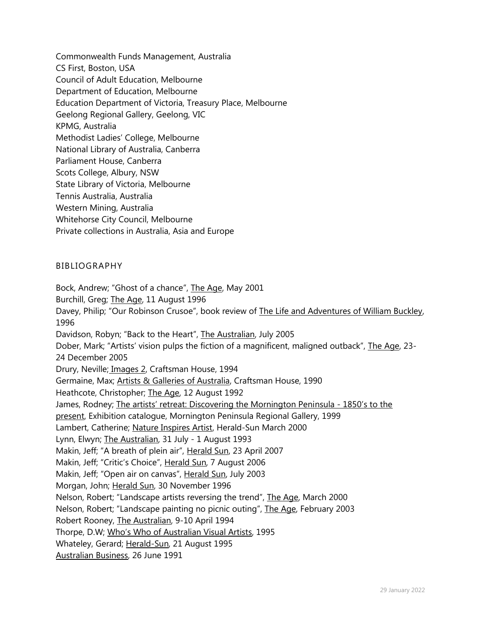Commonwealth Funds Management, Australia CS First, Boston, USA Council of Adult Education, Melbourne Department of Education, Melbourne Education Department of Victoria, Treasury Place, Melbourne Geelong Regional Gallery, Geelong, VIC KPMG, Australia Methodist Ladies' College, Melbourne National Library of Australia, Canberra Parliament House, Canberra Scots College, Albury, NSW State Library of Victoria, Melbourne Tennis Australia, Australia Western Mining, Australia Whitehorse City Council, Melbourne Private collections in Australia, Asia and Europe

#### BIBLIOGRAPHY

Bock, Andrew; "Ghost of a chance", The Age, May 2001 Burchill, Greg; The Age, 11 August 1996 Davey, Philip; "Our Robinson Crusoe", book review of The Life and Adventures of William Buckley, 1996 Davidson, Robyn; "Back to the Heart", The Australian, July 2005 Dober, Mark; "Artists' vision pulps the fiction of a magnificent, maligned outback", The Age, 23- 24 December 2005 Drury, Neville; Images 2, Craftsman House, 1994 Germaine, Max; Artists & Galleries of Australia, Craftsman House, 1990 Heathcote, Christopher; The Age, 12 August 1992 James, Rodney; The artists' retreat: Discovering the Mornington Peninsula - 1850's to the present, Exhibition catalogue, Mornington Peninsula Regional Gallery, 1999 Lambert, Catherine; Nature Inspires Artist, Herald-Sun March 2000 Lynn, Elwyn; The Australian, 31 July - 1 August 1993 Makin, Jeff; "A breath of plein air", Herald Sun, 23 April 2007 Makin, Jeff; "Critic's Choice", Herald Sun, 7 August 2006 Makin, Jeff; "Open air on canvas", Herald Sun, July 2003 Morgan, John; Herald Sun, 30 November 1996 Nelson, Robert; "Landscape artists reversing the trend", The Age, March 2000 Nelson, Robert; "Landscape painting no picnic outing", The Age, February 2003 Robert Rooney, The Australian, 9-10 April 1994 Thorpe, D.W; Who's Who of Australian Visual Artists, 1995 Whateley, Gerard; Herald-Sun, 21 August 1995 Australian Business, 26 June 1991